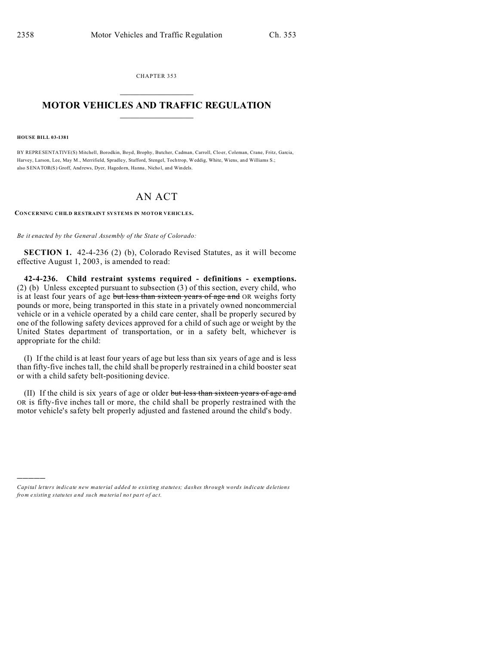CHAPTER 353  $\overline{\phantom{a}}$  , where  $\overline{\phantom{a}}$ 

## **MOTOR VEHICLES AND TRAFFIC REGULATION**  $\frac{1}{2}$  ,  $\frac{1}{2}$  ,  $\frac{1}{2}$  ,  $\frac{1}{2}$  ,  $\frac{1}{2}$  ,  $\frac{1}{2}$  ,  $\frac{1}{2}$

**HOUSE BILL 03-1381**

)))))

BY REPRESENTATIVE(S) Mitchell, Borodkin, Boyd, Brophy, Butcher, Cadman, Carroll, Clo er, Coleman, Crane, Fritz, Garcia, Harvey, Larson, Lee, May M., Merrifield, Spradley, Stafford, Stengel, Tochtrop, Weddig, White, Wiens, and Williams S.; also SENATOR(S) Groff, And rews, Dyer, Hagedorn, Hanna , Nicho l, and Windels.

## AN ACT

**CONCERNING CHILD RESTRAINT SYSTEMS IN MOTOR VEHICLES.**

*Be it enacted by the General Assembly of the State of Colorado:*

**SECTION 1.** 42-4-236 (2) (b), Colorado Revised Statutes, as it will become effective August 1, 2003, is amended to read:

**42-4-236. Child restraint systems required - definitions - exemptions.** (2) (b) Unless excepted pursuant to subsection (3) of this section, every child, who is at least four years of age but less than sixteen years of age and OR weighs forty pounds or more, being transported in this state in a privately owned noncommercial vehicle or in a vehicle operated by a child care center, shall be properly secured by one of the following safety devices approved for a child of such age or weight by the United States department of transportation, or in a safety belt, whichever is appropriate for the child:

(I) If the child is at least four years of age but less than six years of age and is less than fifty-five inches tall, the child shall be properly restrained in a child booster seat or with a child safety belt-positioning device.

(II) If the child is six years of age or older but less than sixteen years of age and OR is fifty-five inches tall or more, the child shall be properly restrained with the motor vehicle's safety belt properly adjusted and fastened around the child's body.

*Capital letters indicate new material added to existing statutes; dashes through words indicate deletions from e xistin g statu tes a nd such ma teria l no t pa rt of ac t.*